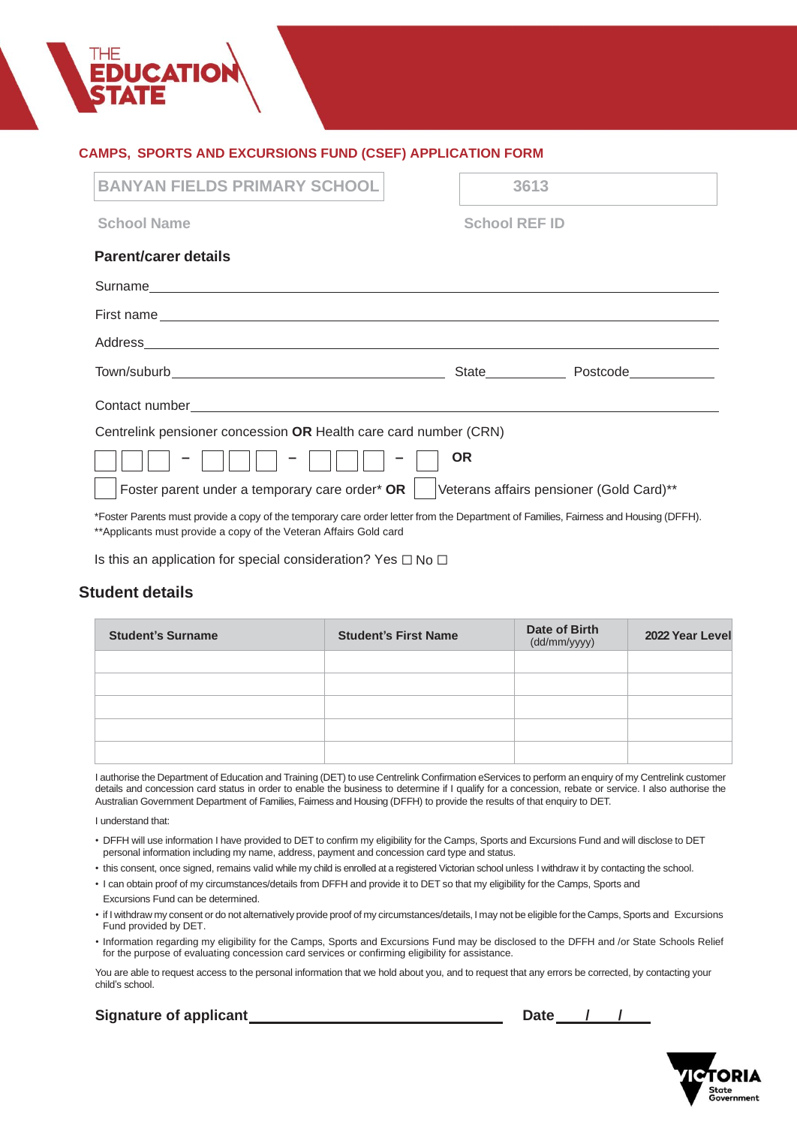## **CAMPS, SPORTS AND EXCURSIONS FUND (CSEF) APPLICATION FORM**

| <b>BANYAN FIELDS PRIMARY SCHOOL</b>                                                                                                                                                                                           | 3613                                     |                         |  |  |
|-------------------------------------------------------------------------------------------------------------------------------------------------------------------------------------------------------------------------------|------------------------------------------|-------------------------|--|--|
| <b>School Name</b>                                                                                                                                                                                                            | <b>School REF ID</b>                     |                         |  |  |
| <b>Parent/carer details</b>                                                                                                                                                                                                   |                                          |                         |  |  |
|                                                                                                                                                                                                                               |                                          |                         |  |  |
| First name substitution of the state of the state of the state of the state of the state of the state of the state of the state of the state of the state of the state of the state of the state of the state of the state of |                                          |                         |  |  |
|                                                                                                                                                                                                                               |                                          |                         |  |  |
|                                                                                                                                                                                                                               |                                          | State Postcode Postcode |  |  |
|                                                                                                                                                                                                                               |                                          |                         |  |  |
| Centrelink pensioner concession OR Health care card number (CRN)                                                                                                                                                              |                                          |                         |  |  |
|                                                                                                                                                                                                                               | <b>OR</b>                                |                         |  |  |
| Foster parent under a temporary care order* OR                                                                                                                                                                                | Veterans affairs pensioner (Gold Card)** |                         |  |  |
| *Foster Parents must provide a copy of the temporary care order letter from the Department of Families, Fairness and Housing (DFFH).                                                                                          |                                          |                         |  |  |

\*\*Applicants must provide a copy of the Veteran Affairs Gold card

Is this an application for special consideration? Yes  $\Box$  No  $\Box$ 

# **Student details**

| <b>Student's Surname</b> | <b>Student's First Name</b> | Date of Birth<br>(dd/mm/yyyy) | 2022 Year Level |
|--------------------------|-----------------------------|-------------------------------|-----------------|
|                          |                             |                               |                 |
|                          |                             |                               |                 |
|                          |                             |                               |                 |
|                          |                             |                               |                 |
|                          |                             |                               |                 |

I authorise the Department of Education and Training (DET) to use Centrelink Confirmation eServices to perform an enquiry of my Centrelink customer details and concession card status in order to enable the business to determine if I qualify for a concession, rebate or service. I also authorise the Australian Government Department of Families, Fairness and Housing (DFFH) to provide the results of that enquiry to DET.

I understand that:

- DFFH will use information I have provided to DET to confirm my eligibility for the Camps, Sports and Excursions Fund and will disclose to DET personal information including my name, address, payment and concession card type and status.
- this consent, once signed, remains valid while my child is enrolled at a registered Victorian school unless I withdraw it by contacting the school.
- I can obtain proof of my circumstances/details from DFFH and provide it to DET so that my eligibility for the Camps, Sports and
- Excursions Fund can be determined.
- if I withdraw my consent or do not alternatively provide proof of my circumstances/details, I may not be eligible forthe Camps, Sports and Excursions Fund provided by DET.
- Information regarding my eligibility for the Camps, Sports and Excursions Fund may be disclosed to the DFFH and /or State Schools Relief for the purpose of evaluating concession card services or confirming eligibility for assistance.

You are able to request access to the personal information that we hold about you, and to request that any errors be corrected, by contacting your child's school.

# **Signature of applicant Date / /**